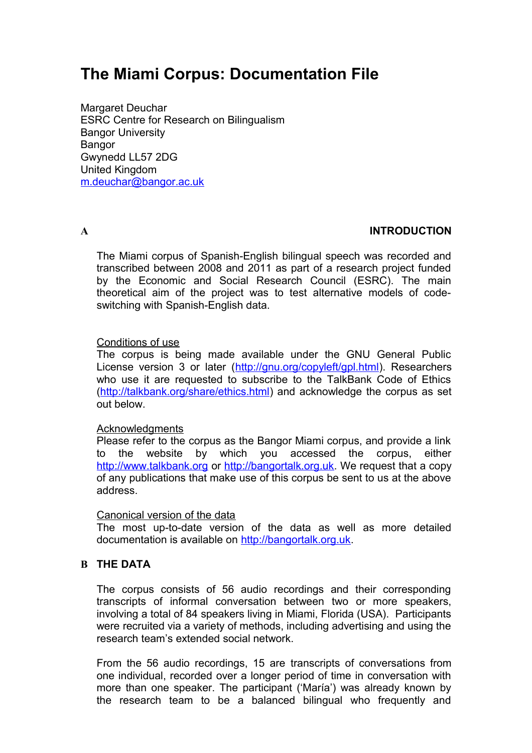# **The Miami Corpus: Documentation File**

Margaret Deuchar ESRC Centre for Research on Bilingualism Bangor University **Bangor** Gwynedd LL57 2DG United Kingdom [m.deuchar@bangor.ac.uk](mailto:m.deuchar@bangor.ac.uk)

### **A INTRODUCTION**

The Miami corpus of Spanish-English bilingual speech was recorded and transcribed between 2008 and 2011 as part of a research project funded by the Economic and Social Research Council (ESRC). The main theoretical aim of the project was to test alternative models of codeswitching with Spanish-English data.

#### Conditions of use

The corpus is being made available under the GNU General Public License version 3 or later [\(http://gnu.org/copyleft/gpl.html\)](http://gnu.org/copyleft/gpl.html). Researchers who use it are requested to subscribe to the TalkBank Code of Ethics [\(http://talkbank.org/share/ethics.html\)](http://talkbank.org/share/ethics.html) and acknowledge the corpus as set out below.

#### Acknowledgments

Please refer to the corpus as the Bangor Miami corpus, and provide a link to the website by which you accessed the corpus, either [http://www.talkbank.org](http://www.talkbank.org/) or [http://bangortalk.org.uk.](http://siarad.org.uk/) We request that a copy of any publications that make use of this corpus be sent to us at the above address.

#### Canonical version of the data

The most up-to-date version of the data as well as more detailed documentation is available on [http://bangortalk.org.uk.](http://bangortalk.org.uk/)

### **B THE DATA**

The corpus consists of 56 audio recordings and their corresponding transcripts of informal conversation between two or more speakers, involving a total of 84 speakers living in Miami, Florida (USA). Participants were recruited via a variety of methods, including advertising and using the research team's extended social network.

From the 56 audio recordings, 15 are transcripts of conversations from one individual, recorded over a longer period of time in conversation with more than one speaker. The participant ('María') was already known by the research team to be a balanced bilingual who frequently and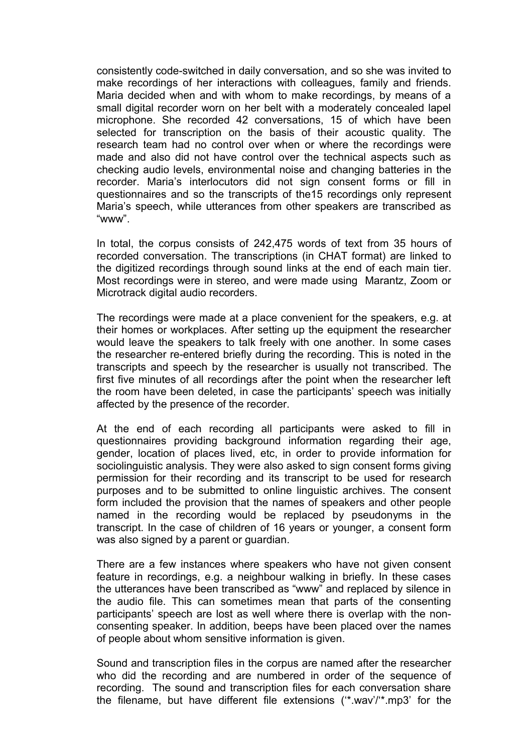consistently code-switched in daily conversation, and so she was invited to make recordings of her interactions with colleagues, family and friends. Maria decided when and with whom to make recordings, by means of a small digital recorder worn on her belt with a moderately concealed lapel microphone. She recorded 42 conversations, 15 of which have been selected for transcription on the basis of their acoustic quality. The research team had no control over when or where the recordings were made and also did not have control over the technical aspects such as checking audio levels, environmental noise and changing batteries in the recorder. Maria's interlocutors did not sign consent forms or fill in questionnaires and so the transcripts of the15 recordings only represent Maria's speech, while utterances from other speakers are transcribed as "www".

In total, the corpus consists of 242,475 words of text from 35 hours of recorded conversation. The transcriptions (in CHAT format) are linked to the digitized recordings through sound links at the end of each main tier. Most recordings were in stereo, and were made using Marantz, Zoom or Microtrack digital audio recorders.

The recordings were made at a place convenient for the speakers, e.g. at their homes or workplaces. After setting up the equipment the researcher would leave the speakers to talk freely with one another. In some cases the researcher re-entered briefly during the recording. This is noted in the transcripts and speech by the researcher is usually not transcribed. The first five minutes of all recordings after the point when the researcher left the room have been deleted, in case the participants' speech was initially affected by the presence of the recorder.

At the end of each recording all participants were asked to fill in questionnaires providing background information regarding their age, gender, location of places lived, etc, in order to provide information for sociolinguistic analysis. They were also asked to sign consent forms giving permission for their recording and its transcript to be used for research purposes and to be submitted to online linguistic archives. The consent form included the provision that the names of speakers and other people named in the recording would be replaced by pseudonyms in the transcript. In the case of children of 16 years or younger, a consent form was also signed by a parent or guardian.

There are a few instances where speakers who have not given consent feature in recordings, e.g. a neighbour walking in briefly. In these cases the utterances have been transcribed as "www" and replaced by silence in the audio file. This can sometimes mean that parts of the consenting participants' speech are lost as well where there is overlap with the nonconsenting speaker. In addition, beeps have been placed over the names of people about whom sensitive information is given.

Sound and transcription files in the corpus are named after the researcher who did the recording and are numbered in order of the sequence of recording. The sound and transcription files for each conversation share the filename, but have different file extensions ('\*.wav'/'\*.mp3' for the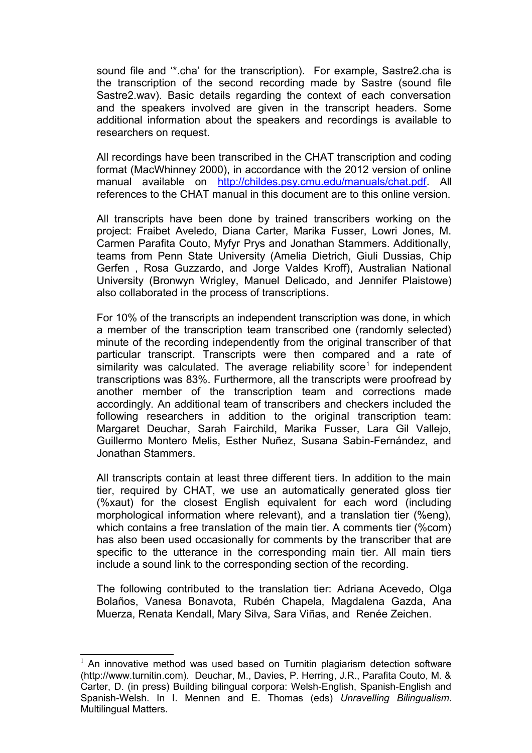sound file and '\*.cha' for the transcription). For example, Sastre2.cha is the transcription of the second recording made by Sastre (sound file Sastre2.wav). Basic details regarding the context of each conversation and the speakers involved are given in the transcript headers. Some additional information about the speakers and recordings is available to researchers on request.

All recordings have been transcribed in the CHAT transcription and coding format (MacWhinney 2000), in accordance with the 2012 version of online manual available on [http://childes.psy.cmu.edu/manuals/chat.pdf.](http://childes.psy.cmu.edu/manuals/chat.pdf) All references to the CHAT manual in this document are to this online version.

All transcripts have been done by trained transcribers working on the project: Fraibet Aveledo, Diana Carter, Marika Fusser, Lowri Jones, M. Carmen Parafita Couto, Myfyr Prys and Jonathan Stammers. Additionally, teams from Penn State University (Amelia Dietrich, Giuli Dussias, Chip Gerfen , Rosa Guzzardo, and Jorge Valdes Kroff), Australian National University (Bronwyn Wrigley, Manuel Delicado, and Jennifer Plaistowe) also collaborated in the process of transcriptions.

For 10% of the transcripts an independent transcription was done, in which a member of the transcription team transcribed one (randomly selected) minute of the recording independently from the original transcriber of that particular transcript. Transcripts were then compared and a rate of similarity was calculated. The average reliability score<sup>[1](#page-2-0)</sup> for independent transcriptions was 83%. Furthermore, all the transcripts were proofread by another member of the transcription team and corrections made accordingly. An additional team of transcribers and checkers included the following researchers in addition to the original transcription team: Margaret Deuchar, Sarah Fairchild, Marika Fusser, Lara Gil Vallejo, Guillermo Montero Melis, Esther Nuñez, Susana Sabin-Fernández, and Jonathan Stammers.

All transcripts contain at least three different tiers. In addition to the main tier, required by CHAT, we use an automatically generated gloss tier (%xaut) for the closest English equivalent for each word (including morphological information where relevant), and a translation tier (%eng), which contains a free translation of the main tier. A comments tier (%com) has also been used occasionally for comments by the transcriber that are specific to the utterance in the corresponding main tier. All main tiers include a sound link to the corresponding section of the recording.

The following contributed to the translation tier: Adriana Acevedo, Olga Bolaños, Vanesa Bonavota, Rubén Chapela, Magdalena Gazda, Ana Muerza, Renata Kendall, Mary Silva, Sara Viñas, and Renée Zeichen.

<span id="page-2-0"></span> $1$  An innovative method was used based on Turnitin plagiarism detection software (http://www.turnitin.com). Deuchar, M., Davies, P. Herring, J.R., Parafita Couto, M. & Carter, D. (in press) Building bilingual corpora: Welsh-English, Spanish-English and Spanish-Welsh. In I. Mennen and E. Thomas (eds) *Unravelling Bilingualism*. Multilingual Matters.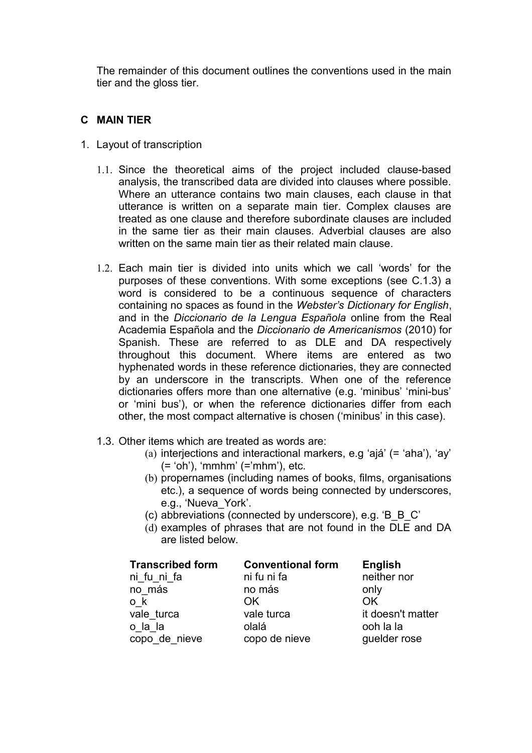The remainder of this document outlines the conventions used in the main tier and the gloss tier.

## **C MAIN TIER**

- 1. Layout of transcription
	- 1.1. Since the theoretical aims of the project included clause-based analysis, the transcribed data are divided into clauses where possible. Where an utterance contains two main clauses, each clause in that utterance is written on a separate main tier. Complex clauses are treated as one clause and therefore subordinate clauses are included in the same tier as their main clauses. Adverbial clauses are also written on the same main tier as their related main clause.
	- 1.2. Each main tier is divided into units which we call 'words' for the purposes of these conventions. With some exceptions (see C.1.3) a word is considered to be a continuous sequence of characters containing no spaces as found in the *Webster's Dictionary for English*, and in the *Diccionario de la Lengua Española* online from the Real Academia Española and the *Diccionario de Americanismos* (2010) for Spanish. These are referred to as DLE and DA respectively throughout this document. Where items are entered as two hyphenated words in these reference dictionaries, they are connected by an underscore in the transcripts. When one of the reference dictionaries offers more than one alternative (e.g. 'minibus' 'mini-bus' or 'mini bus'), or when the reference dictionaries differ from each other, the most compact alternative is chosen ('minibus' in this case).
	- 1.3. Other items which are treated as words are:
		- (a) interjections and interactional markers, e.g 'ajá' (= 'aha'), 'ay' (= 'oh'), 'mmhm' (='mhm'), etc.
		- (b) propernames (including names of books, films, organisations etc.), a sequence of words being connected by underscores, e.g., 'Nueva\_York'.
		- (c) abbreviations (connected by underscore), e.g. 'B\_B\_C'
		- (d) examples of phrases that are not found in the DLE and DA are listed below.

| <b>Transcribed form</b> | <b>Conventional form</b> | <b>English</b>    |
|-------------------------|--------------------------|-------------------|
| ni fu ni fa             | ni fu ni fa              | neither nor       |
| no más                  | no más                   | only              |
| o k                     | OK.                      | OK.               |
| vale turca              | vale turca               | it doesn't matter |
| o la la                 | olalá                    | ooh la la         |
| copo_de_nieve           | copo de nieve            | guelder rose      |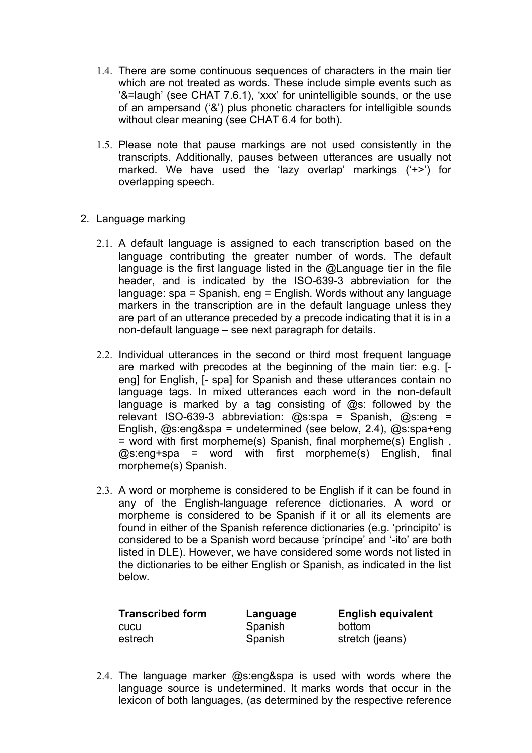- 1.4. There are some continuous sequences of characters in the main tier which are not treated as words. These include simple events such as '&=laugh' (see CHAT 7.6.1), 'xxx' for unintelligible sounds, or the use of an ampersand ('&') plus phonetic characters for intelligible sounds without clear meaning (see CHAT 6.4 for both).
- 1.5. Please note that pause markings are not used consistently in the transcripts. Additionally, pauses between utterances are usually not marked. We have used the 'lazy overlap' markings ('+>') for overlapping speech.
- 2. Language marking
	- 2.1. A default language is assigned to each transcription based on the language contributing the greater number of words. The default language is the first language listed in the @Language tier in the file header, and is indicated by the ISO-639-3 abbreviation for the language: spa = Spanish, eng = English. Words without any language markers in the transcription are in the default language unless they are part of an utterance preceded by a precode indicating that it is in a non-default language – see next paragraph for details.
	- 2.2. Individual utterances in the second or third most frequent language are marked with precodes at the beginning of the main tier: e.g. [ eng] for English, [- spa] for Spanish and these utterances contain no language tags. In mixed utterances each word in the non-default language is marked by a tag consisting of @s: followed by the relevant ISO-639-3 abbreviation: @s:spa = Spanish, @s:eng = English, @s:eng&spa = undetermined (see below, 2.4), @s:spa+eng = word with first morpheme(s) Spanish, final morpheme(s) English , @s:eng+spa = word with first morpheme(s) English, final morpheme(s) Spanish.
	- 2.3. A word or morpheme is considered to be English if it can be found in any of the English-language reference dictionaries. A word or morpheme is considered to be Spanish if it or all its elements are found in either of the Spanish reference dictionaries (e.g. 'principito' is considered to be a Spanish word because 'príncipe' and '-ito' are both listed in DLE). However, we have considered some words not listed in the dictionaries to be either English or Spanish, as indicated in the list below.

cucu Spanish bottom

**Transcribed form Language English equivalent** estrech Spanish stretch (jeans)

2.4. The language marker @s:eng&spa is used with words where the language source is undetermined. It marks words that occur in the lexicon of both languages, (as determined by the respective reference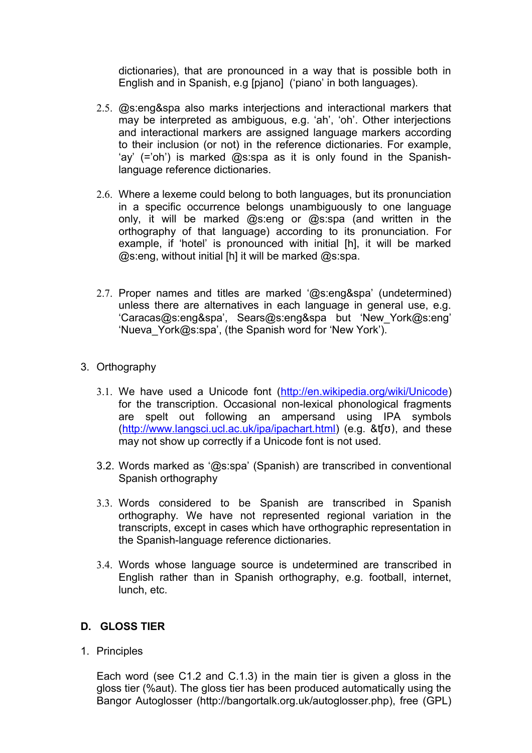dictionaries), that are pronounced in a way that is possible both in English and in Spanish, e.g [pjano] ('piano' in both languages).

- 2.5. @s:eng&spa also marks interjections and interactional markers that may be interpreted as ambiguous, e.g. 'ah', 'oh'. Other interjections and interactional markers are assigned language markers according to their inclusion (or not) in the reference dictionaries. For example, 'ay' (='oh') is marked @s:spa as it is only found in the Spanishlanguage reference dictionaries.
- 2.6. Where a lexeme could belong to both languages, but its pronunciation in a specific occurrence belongs unambiguously to one language only, it will be marked @s:eng or @s:spa (and written in the orthography of that language) according to its pronunciation. For example, if 'hotel' is pronounced with initial [h], it will be marked @s:eng, without initial [h] it will be marked @s:spa.
- 2.7. Proper names and titles are marked '@s:eng&spa' (undetermined) unless there are alternatives in each language in general use, e.g. 'Caracas@s:eng&spa', Sears@s:eng&spa but 'New\_York@s:eng' 'Nueva\_York@s:spa', (the Spanish word for 'New York').

# 3. Orthography

- 3.1. We have used a Unicode font [\(http://en.wikipedia.org/wiki/Unicode\)](http://en.wikipedia.org/wiki/Unicode) for the transcription. Occasional non-lexical phonological fragments are spelt out following an ampersand using IPA symbols [\(http://www.langsci.ucl.ac.uk/ipa/ipachart.html\)](http://www.langsci.ucl.ac.uk/ipa/ipachart.html) (e.g. &ʧʊ), and these may not show up correctly if a Unicode font is not used.
- 3.2. Words marked as '@s:spa' (Spanish) are transcribed in conventional Spanish orthography
- 3.3. Words considered to be Spanish are transcribed in Spanish orthography. We have not represented regional variation in the transcripts, except in cases which have orthographic representation in the Spanish-language reference dictionaries.
- 3.4. Words whose language source is undetermined are transcribed in English rather than in Spanish orthography, e.g. football, internet, lunch, etc.

# **D. GLOSS TIER**

1. Principles

Each word (see C1.2 and C.1.3) in the main tier is given a gloss in the gloss tier (%aut). The gloss tier has been produced automatically using the Bangor Autoglosser (http://bangortalk.org.uk/autoglosser.php), free (GPL)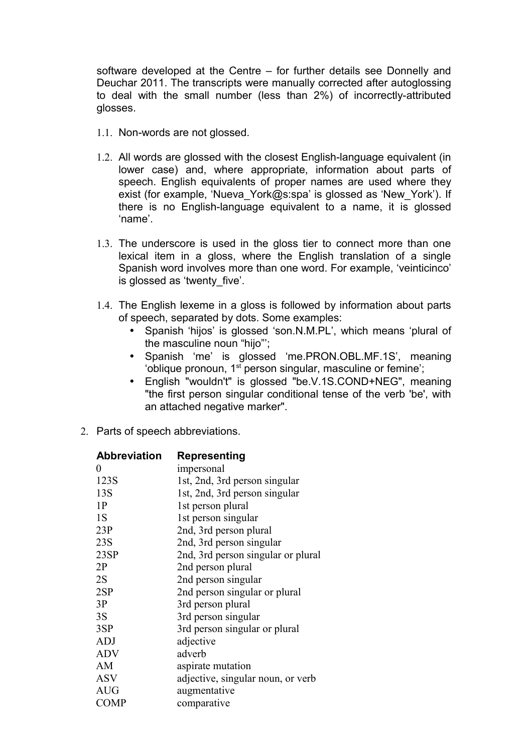software developed at the Centre – for further details see Donnelly and Deuchar 2011. The transcripts were manually corrected after autoglossing to deal with the small number (less than 2%) of incorrectly-attributed glosses.

- 1.1. Non-words are not glossed.
- 1.2. All words are glossed with the closest English-language equivalent (in lower case) and, where appropriate, information about parts of speech. English equivalents of proper names are used where they exist (for example, 'Nueva York@s:spa' is glossed as 'New York'). If there is no English-language equivalent to a name, it is glossed 'name'.
- 1.3. The underscore is used in the gloss tier to connect more than one lexical item in a gloss, where the English translation of a single Spanish word involves more than one word. For example, 'veinticinco' is glossed as 'twenty five'.
- 1.4. The English lexeme in a gloss is followed by information about parts of speech, separated by dots. Some examples:
	- Spanish 'hijos' is glossed 'son.N.M.PL', which means 'plural of the masculine noun "hijo"';
	- Spanish 'me' is glossed 'me.PRON.OBL.MF.1S', meaning 'oblique pronoun, 1<sup>st</sup> person singular, masculine or femine';
	- English "wouldn't" is glossed "be.V.1S.COND+NEG", meaning "the first person singular conditional tense of the verb 'be', with an attached negative marker".
- 2. Parts of speech abbreviations.

| <b>Abbreviation</b> | Representing                       |
|---------------------|------------------------------------|
| 0                   | impersonal                         |
| 123S                | 1st, 2nd, 3rd person singular      |
| 13S                 | 1st, 2nd, 3rd person singular      |
| 1P                  | 1st person plural                  |
| 1S                  | 1st person singular                |
| 23P                 | 2nd, 3rd person plural             |
| 23S                 | 2nd, 3rd person singular           |
| 23SP                | 2nd, 3rd person singular or plural |
| 2P                  | 2nd person plural                  |
| 2S                  | 2nd person singular                |
| 2SP                 | 2nd person singular or plural      |
| 3P                  | 3rd person plural                  |
| 3S                  | 3rd person singular                |
| 3SP                 | 3rd person singular or plural      |
| <b>ADJ</b>          | adjective                          |
| <b>ADV</b>          | adverb                             |
| AM                  | aspirate mutation                  |
| <b>ASV</b>          | adjective, singular noun, or verb  |
| <b>AUG</b>          | augmentative                       |
| <b>COMP</b>         | comparative                        |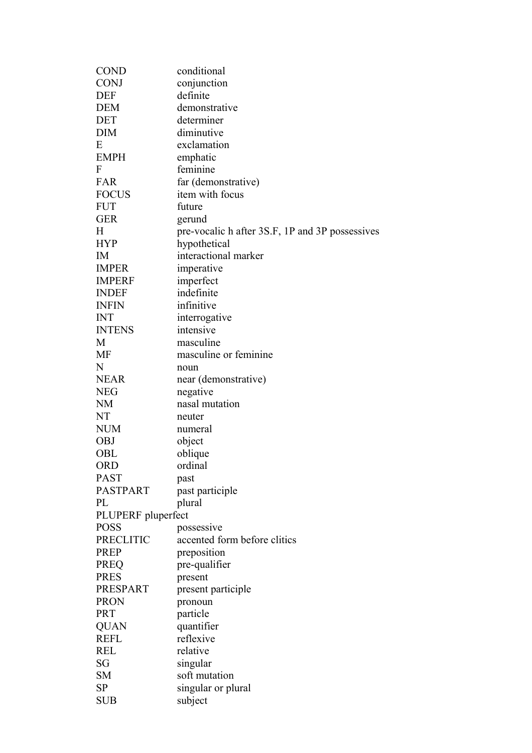| <b>COND</b>        | conditional                                     |
|--------------------|-------------------------------------------------|
| <b>CONJ</b>        | conjunction                                     |
| <b>DEF</b>         | definite                                        |
| <b>DEM</b>         | demonstrative                                   |
| <b>DET</b>         | determiner                                      |
| <b>DIM</b>         | diminutive                                      |
| Ε                  | exclamation                                     |
| <b>EMPH</b>        | emphatic                                        |
| F                  | feminine                                        |
| <b>FAR</b>         | far (demonstrative)                             |
| <b>FOCUS</b>       | item with focus                                 |
| <b>FUT</b>         | future                                          |
| <b>GER</b>         | gerund                                          |
| H                  | pre-vocalic h after 3S.F, 1P and 3P possessives |
| <b>HYP</b>         | hypothetical                                    |
| IM                 | interactional marker                            |
| <b>IMPER</b>       | imperative                                      |
| <b>IMPERF</b>      |                                                 |
|                    | imperfect                                       |
| <b>INDEF</b>       | indefinite                                      |
| <b>INFIN</b>       | infinitive                                      |
| INT                | interrogative                                   |
| <b>INTENS</b>      | intensive                                       |
| M                  | masculine                                       |
| MF                 | masculine or feminine                           |
| N                  | noun                                            |
| <b>NEAR</b>        | near (demonstrative)                            |
| <b>NEG</b>         | negative                                        |
| <b>NM</b>          | nasal mutation                                  |
| NT                 | neuter                                          |
| <b>NUM</b>         | numeral                                         |
| <b>OBJ</b>         | object                                          |
| OBL                | oblique                                         |
| <b>ORD</b>         | ordinal                                         |
| <b>PAST</b>        | past                                            |
| <b>PASTPART</b>    | past participle                                 |
| PL                 | plural                                          |
| PLUPERF pluperfect |                                                 |
| <b>POSS</b>        | possessive                                      |
| <b>PRECLITIC</b>   | accented form before clitics                    |
| <b>PREP</b>        | preposition                                     |
| <b>PREQ</b>        | pre-qualifier                                   |
| <b>PRES</b>        | present                                         |
| PRESPART           | present participle                              |
| <b>PRON</b>        | pronoun                                         |
| <b>PRT</b>         | particle                                        |
| <b>QUAN</b>        | quantifier                                      |
| <b>REFL</b>        | reflexive                                       |
| <b>REL</b>         | relative                                        |
| SG                 |                                                 |
|                    | singular                                        |
| <b>SM</b>          | soft mutation                                   |
| <b>SP</b>          | singular or plural                              |
| <b>SUB</b>         | subject                                         |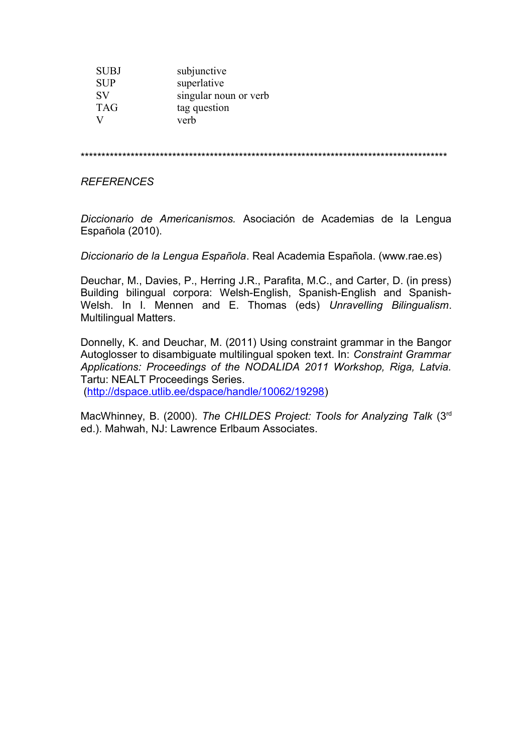| <b>SUBJ</b> | subjunctive           |
|-------------|-----------------------|
| <b>SUP</b>  | superlative           |
| <b>SV</b>   | singular noun or verb |
| <b>TAG</b>  | tag question          |
|             | verb                  |

\*\*\*\*\*\*\*\*\*\*\*\*\*\*\*\*\*\*\*\*\*\*\*\*\*\*\*\*\*\*\*\*\*\*\*\*\*\*\*\*\*\*\*\*\*\*\*\*\*\*\*\*\*\*\*\*\*\*\*\*\*\*\*\*\*\*\*\*\*\*\*\*\*\*\*\*\*\*\*\*\*\*\*\*\*\*\*\*

#### *REFERENCES*

*Diccionario de Americanismos.* Asociación de Academias de la Lengua Española (2010).

*Diccionario de la Lengua Española*. Real Academia Española. (www.rae.es)

Deuchar, M., Davies, P., Herring J.R., Parafita, M.C., and Carter, D. (in press) Building bilingual corpora: Welsh-English, Spanish-English and Spanish-Welsh. In I. Mennen and E. Thomas (eds) *Unravelling Bilingualism*. Multilingual Matters.

Donnelly, K. and Deuchar, M. (2011) Using constraint grammar in the Bangor Autoglosser to disambiguate multilingual spoken text. In: *Constraint Grammar Applications: Proceedings of the NODALIDA 2011 Workshop, Riga, Latvia.* Tartu: NEALT Proceedings Series.

[\(http://dspace.utlib.ee/dspace/handle/10062/19298\)](http://dspace.utlib.ee/dspace/handle/10062/19298)

MacWhinney, B. (2000). *The CHILDES Project: Tools for Analyzing Talk* (3rd ed.). Mahwah, NJ: Lawrence Erlbaum Associates.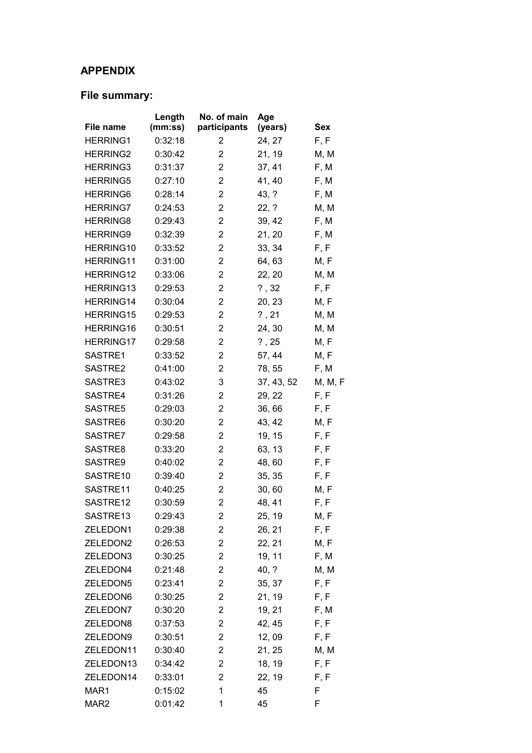# **APPENDIX**

# **File summary:**

| File name        | Length<br>(mm:ss) | No. of main<br>participants | Age<br>(years)   | <b>Sex</b> |
|------------------|-------------------|-----------------------------|------------------|------------|
| <b>HERRING1</b>  | 0:32:18           | 2                           |                  | F, F       |
| <b>HERRING2</b>  | 0:30:42           | $\overline{2}$              | 24, 27<br>21, 19 | M, M       |
| <b>HERRING3</b>  | 0:31:37           | $\overline{2}$              |                  | F, M       |
|                  |                   | $\overline{2}$              | 37, 41           |            |
| <b>HERRING5</b>  | 0:27:10           | $\overline{2}$              | 41, 40           | F, M       |
| <b>HERRING6</b>  | 0:28:14           |                             | 43, ?            | F, M       |
| <b>HERRING7</b>  | 0:24:53           | $\overline{2}$              | 22, ?            | M, M       |
| <b>HERRING8</b>  | 0:29:43           | $\overline{2}$              | 39, 42           | F, M       |
| <b>HERRING9</b>  | 0:32:39           | $\overline{2}$              | 21, 20           | F, M       |
| HERRING10        | 0:33:52           | $\overline{2}$              | 33, 34           | F, F       |
| HERRING11        | 0:31:00           | $\overline{2}$              | 64, 63           | M, F       |
| HERRING12        | 0:33:06           | $\overline{2}$              | 22, 20           | M, M       |
| <b>HERRING13</b> | 0:29:53           | $\overline{2}$              | ?, 32            | F, F       |
| HERRING14        | 0:30:04           | $\overline{2}$              | 20, 23           | M, F       |
| HERRING15        | 0:29:53           | $\overline{2}$              | $?$ , 21         | M, M       |
| HERRING16        | 0:30:51           | $\overline{2}$              | 24, 30           | M, M       |
| <b>HERRING17</b> | 0:29:58           | $\overline{2}$              | $?$ , 25         | M, F       |
| SASTRE1          | 0:33:52           | $\overline{2}$              | 57, 44           | M, F       |
| SASTRE2          | 0:41:00           | $\overline{2}$              | 78, 55           | F, M       |
| SASTRE3          | 0:43:02           | 3                           | 37, 43, 52       | M, M, F    |
| SASTRE4          | 0:31:26           | 2                           | 29, 22           | F, F       |
| SASTRE5          | 0:29:03           | $\overline{2}$              | 36,66            | F, F       |
| SASTRE6          | 0:30:20           | $\overline{2}$              | 43, 42           | M, F       |
| SASTRE7          | 0:29:58           | $\overline{2}$              | 19, 15           | F, F       |
| SASTRE8          | 0:33:20           | $\overline{2}$              | 63, 13           | F, F       |
| SASTRE9          | 0:40:02           | $\overline{2}$              | 48,60            | F, F       |
| SASTRE10         | 0:39:40           | $\overline{2}$              | 35, 35           | F, F       |
| SASTRE11         | 0:40:25           | $\overline{2}$              | 30,60            | M, F       |
| SASTRE12         | 0:30:59           | $\overline{2}$              | 48, 41           | F, F       |
| SASTRE13         | 0:29:43           | 2                           | 25, 19           | M, F       |
| ZELEDON1         | 0:29:38           | 2                           | 26, 21           | F, F       |
| ZELEDON2         | 0:26:53           | 2                           | 22, 21           | M, F       |
| ZELEDON3         | 0:30:25           | $\overline{2}$              | 19, 11           | F, M       |
| ZELEDON4         | 0:21:48           | $\overline{2}$              | 40, ?            | M, M       |
| ZELEDON5         | 0:23:41           | $\overline{2}$              | 35, 37           | F, F       |
| ZELEDON6         | 0:30:25           | $\overline{2}$              | 21, 19           | F, F       |
| ZELEDON7         | 0:30:20           | $\overline{2}$              | 19, 21           | F, M       |
| ZELEDON8         | 0:37:53           | $\overline{2}$              | 42, 45           | F, F       |
| ZELEDON9         | 0:30:51           | $\overline{2}$              | 12, 09           | F, F       |
| ZELEDON11        | 0:30:40           | $\overline{2}$              | 21, 25           | M, M       |
| ZELEDON13        | 0:34:42           | $\overline{2}$              | 18, 19           | F, F       |
| ZELEDON14        | 0:33:01           | 2                           | 22, 19           | F, F       |
| MAR1             | 0:15:02           | 1                           | 45               | F          |
| MAR <sub>2</sub> | 0:01:42           | 1                           | 45               | F          |